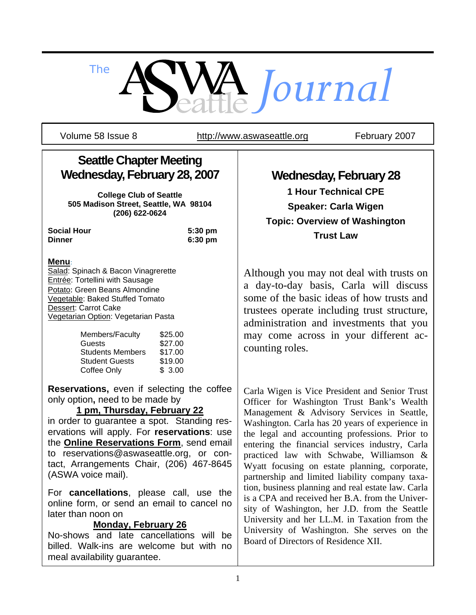

Volume 58 Issue 8 http://www.aswaseattle.org February 2007

# **Seattle Chapter Meeting Wednesday, February 28, 2007**

**College Club of Seattle 505 Madison Street, Seattle, WA 98104 (206) 622-0624** 

**Social Hour 5:30 pm Dinner 6:30 pm**

# **Menu**:

Salad: Spinach & Bacon Vinagrerette Entrée: Tortellini with Sausage Potato: Green Beans Almondine Vegetable: Baked Stuffed Tomato Dessert: Carrot Cake Vegetarian Option: Vegetarian Pasta

| Members/Faculty         | \$25.00 |
|-------------------------|---------|
| Guests                  | \$27.00 |
| <b>Students Members</b> | \$17.00 |
| <b>Student Guests</b>   | \$19.00 |
| Coffee Only             | \$3.00  |

**Reservations,** even if selecting the coffee only option**,** need to be made by

# **1 pm, Thursday, February 22**

in order to guarantee a spot. Standing reservations will apply. For **reservations**: use the **Online Reservations Form**, send email to reservations@aswaseattle.org, or contact, Arrangements Chair, (206) 467-8645 (ASWA voice mail).

For **cancellations**, please call, use the online form, or send an email to cancel no later than noon on

# **Monday, February 26**

No-shows and late cancellations will be billed. Walk-ins are welcome but with no meal availability guarantee.

**Wednesday, February 28** 

**1 Hour Technical CPE Speaker: Carla Wigen Topic: Overview of Washington Trust Law** 

Although you may not deal with trusts on a day-to-day basis, Carla will discuss some of the basic ideas of how trusts and trustees operate including trust structure, administration and investments that you may come across in your different accounting roles.

Carla Wigen is Vice President and Senior Trust Officer for Washington Trust Bank's Wealth Management & Advisory Services in Seattle, Washington. Carla has 20 years of experience in the legal and accounting professions. Prior to entering the financial services industry, Carla practiced law with Schwabe, Williamson & Wyatt focusing on estate planning, corporate, partnership and limited liability company taxation, business planning and real estate law. Carla is a CPA and received her B.A. from the University of Washington, her J.D. from the Seattle University and her LL.M. in Taxation from the University of Washington. She serves on the Board of Directors of Residence XII.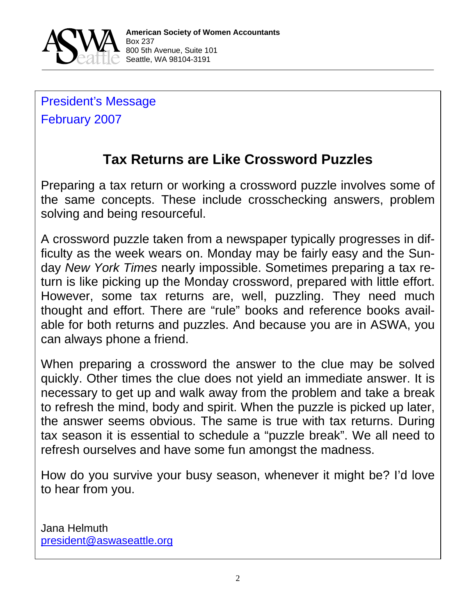

President's Message February 2007

# **Tax Returns are Like Crossword Puzzles**

Preparing a tax return or working a crossword puzzle involves some of the same concepts. These include crosschecking answers, problem solving and being resourceful.

A crossword puzzle taken from a newspaper typically progresses in difficulty as the week wears on. Monday may be fairly easy and the Sunday *New York Times* nearly impossible. Sometimes preparing a tax return is like picking up the Monday crossword, prepared with little effort. However, some tax returns are, well, puzzling. They need much thought and effort. There are "rule" books and reference books available for both returns and puzzles. And because you are in ASWA, you can always phone a friend.

When preparing a crossword the answer to the clue may be solved quickly. Other times the clue does not yield an immediate answer. It is necessary to get up and walk away from the problem and take a break to refresh the mind, body and spirit. When the puzzle is picked up later, the answer seems obvious. The same is true with tax returns. During tax season it is essential to schedule a "puzzle break". We all need to refresh ourselves and have some fun amongst the madness.

How do you survive your busy season, whenever it might be? I'd love to hear from you.

Jana Helmuth president@aswaseattle.org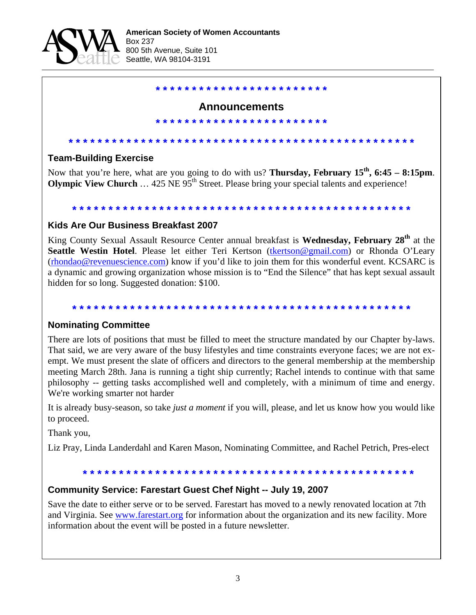

**\* \* \* \* \* \* \* \* \* \* \* \* \* \* \* \* \* \* \* \* \* \* \* \*** 

**\* \* \* \* \* \* \* \* \* \* \* \* \* \* \* \* \* \* \* \* \* \* \* \***

## **Announcements**

**Team-Building Exercise**

Now that you're here, what are you going to do with us? **Thursday, February 15th, 6:45 – 8:15pm**. **Olympic View Church** ... 425 NE 95<sup>th</sup> Street. Please bring your special talents and experience!

**\* \* \* \* \* \* \* \* \* \* \* \* \* \* \* \* \* \* \* \* \* \* \* \* \* \* \* \* \* \* \* \* \* \* \* \* \* \* \* \* \* \* \* \* \* \* \* \*** 

**\* \* \* \* \* \* \* \* \* \* \* \* \* \* \* \* \* \* \* \* \* \* \* \* \* \* \* \* \* \* \* \* \* \* \* \* \* \* \* \* \* \* \* \* \* \* \***

### **Kids Are Our Business Breakfast 2007**

King County Sexual Assault Resource Center annual breakfast is **Wednesday, February 28th** at the **Seattle Westin Hotel**. Please let either Teri Kertson (tkertson@gmail.com) or Rhonda O'Leary (rhondao@revenuescience.com) know if you'd like to join them for this wonderful event. KCSARC is a dynamic and growing organization whose mission is to "End the Silence" that has kept sexual assault hidden for so long. Suggested donation: \$100.

#### **\* \* \* \* \* \* \* \* \* \* \* \* \* \* \* \* \* \* \* \* \* \* \* \* \* \* \* \* \* \* \* \* \* \* \* \* \* \* \* \* \* \* \* \* \* \* \***

### **Nominating Committee**

There are lots of positions that must be filled to meet the structure mandated by our Chapter by-laws. That said, we are very aware of the busy lifestyles and time constraints everyone faces; we are not exempt. We must present the slate of officers and directors to the general membership at the membership meeting March 28th. Jana is running a tight ship currently; Rachel intends to continue with that same philosophy -- getting tasks accomplished well and completely, with a minimum of time and energy. We're working smarter not harder

It is already busy-season, so take *just a moment* if you will, please, and let us know how you would like to proceed.

Thank you,

Liz Pray, Linda Landerdahl and Karen Mason, Nominating Committee, and Rachel Petrich, Pres-elect

#### **\* \* \* \* \* \* \* \* \* \* \* \* \* \* \* \* \* \* \* \* \* \* \* \* \* \* \* \* \* \* \* \* \* \* \* \* \* \* \* \* \* \* \* \* \* \***

### **Community Service: Farestart Guest Chef Night -- July 19, 2007**

Save the date to either serve or to be served. Farestart has moved to a newly renovated location at 7th and Virginia. See www.farestart.org for information about the organization and its new facility. More information about the event will be posted in a future newsletter.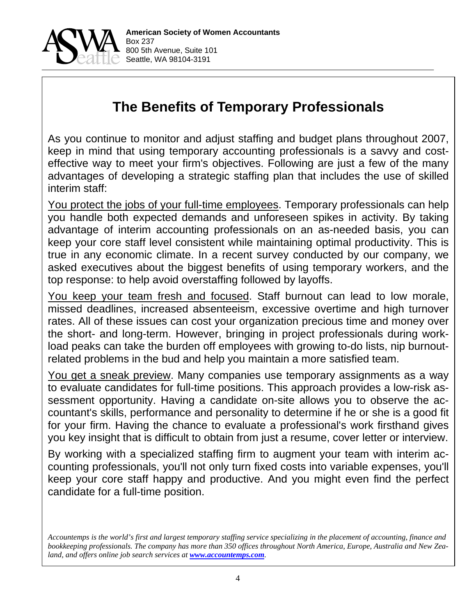

# **The Benefits of Temporary Professionals**

As you continue to monitor and adjust staffing and budget plans throughout 2007, keep in mind that using temporary accounting professionals is a savvy and costeffective way to meet your firm's objectives. Following are just a few of the many advantages of developing a strategic staffing plan that includes the use of skilled interim staff:

You protect the jobs of your full-time employees. Temporary professionals can help you handle both expected demands and unforeseen spikes in activity. By taking advantage of interim accounting professionals on an as-needed basis, you can keep your core staff level consistent while maintaining optimal productivity. This is true in any economic climate. In a recent survey conducted by our company, we asked executives about the biggest benefits of using temporary workers, and the top response: to help avoid overstaffing followed by layoffs.

You keep your team fresh and focused. Staff burnout can lead to low morale, missed deadlines, increased absenteeism, excessive overtime and high turnover rates. All of these issues can cost your organization precious time and money over the short- and long-term. However, bringing in project professionals during workload peaks can take the burden off employees with growing to-do lists, nip burnoutrelated problems in the bud and help you maintain a more satisfied team.

You get a sneak preview. Many companies use temporary assignments as a way to evaluate candidates for full-time positions. This approach provides a low-risk assessment opportunity. Having a candidate on-site allows you to observe the accountant's skills, performance and personality to determine if he or she is a good fit for your firm. Having the chance to evaluate a professional's work firsthand gives you key insight that is difficult to obtain from just a resume, cover letter or interview.

By working with a specialized staffing firm to augment your team with interim accounting professionals, you'll not only turn fixed costs into variable expenses, you'll keep your core staff happy and productive. And you might even find the perfect candidate for a full-time position.

*Accountemps is the world's first and largest temporary staffing service specializing in the placement of accounting, finance and bookkeeping professionals. The company has more than 350 offices throughout North America, Europe, Australia and New Zea*land, and offers online job search services at *www.accountemps.com*.